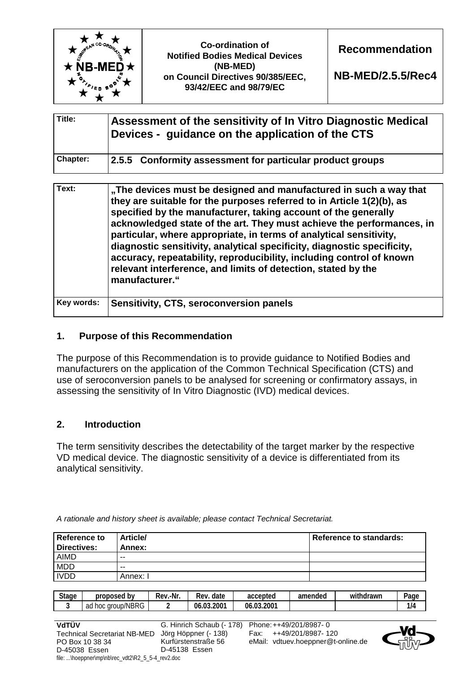

| Title:          | Assessment of the sensitivity of In Vitro Diagnostic Medical<br>Devices - guidance on the application of the CTS |
|-----------------|------------------------------------------------------------------------------------------------------------------|
| <b>Chapter:</b> | 2.5.5 Conformity assessment for particular product groups                                                        |

| Text:      | "The devices must be designed and manufactured in such a way that<br>they are suitable for the purposes referred to in Article 1(2)(b), as<br>specified by the manufacturer, taking account of the generally<br>acknowledged state of the art. They must achieve the performances, in<br>particular, where appropriate, in terms of analytical sensitivity,<br>diagnostic sensitivity, analytical specificity, diagnostic specificity,<br>accuracy, repeatability, reproducibility, including control of known<br>relevant interference, and limits of detection, stated by the<br>manufacturer." |
|------------|---------------------------------------------------------------------------------------------------------------------------------------------------------------------------------------------------------------------------------------------------------------------------------------------------------------------------------------------------------------------------------------------------------------------------------------------------------------------------------------------------------------------------------------------------------------------------------------------------|
| Key words: | Sensitivity, CTS, seroconversion panels                                                                                                                                                                                                                                                                                                                                                                                                                                                                                                                                                           |

## **1. Purpose of this Recommendation**

The purpose of this Recommendation is to provide guidance to Notified Bodies and manufacturers on the application of the Common Technical Specification (CTS) and use of seroconversion panels to be analysed for screening or confirmatory assays, in assessing the sensitivity of In Vitro Diagnostic (IVD) medical devices.

## **2. Introduction**

The term sensitivity describes the detectability of the target marker by the respective VD medical device. The diagnostic sensitivity of a device is differentiated from its analytical sensitivity.

| Reference to<br>Directives: | <b>Article/</b><br>Annex: | Reference to standards: |
|-----------------------------|---------------------------|-------------------------|
| <b>AIMD</b>                 | $-$                       |                         |
| <b>MDD</b>                  | $- -$                     |                         |
| <b>IVDD</b>                 | Annex: I                  |                         |

*A rationale and history sheet is available; please contact Technical Secretariat.* 

| <b>Stage</b> | b٧<br>proposed          | .-Nr<br>Rev. | -<br>date<br>Rev | accepted             | amended | .<br>hdrawr<br>with | -<br>Page |
|--------------|-------------------------|--------------|------------------|----------------------|---------|---------------------|-----------|
|              | group/NBRG<br>ad<br>hoc |              | 0.03.2007<br>06  | 2001.,<br>. ሰ?<br>06 |         |                     | 1/4       |

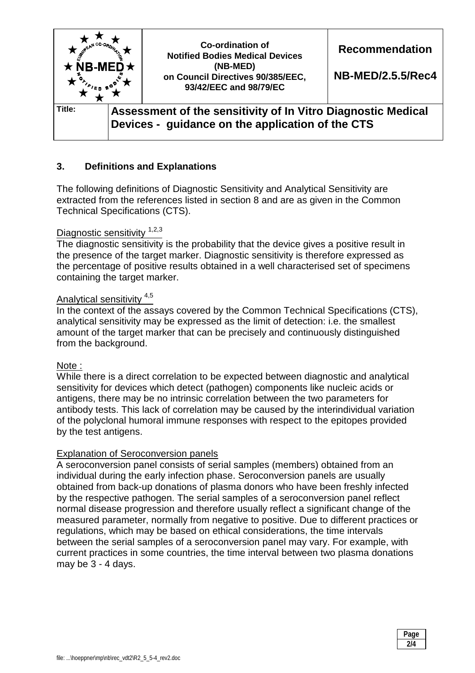

## **3. Definitions and Explanations**

The following definitions of Diagnostic Sensitivity and Analytical Sensitivity are extracted from the references listed in section 8 and are as given in the Common Technical Specifications (CTS).

#### Diagnostic sensitivity  $1,2,3$

The diagnostic sensitivity is the probability that the device gives a positive result in the presence of the target marker. Diagnostic sensitivity is therefore expressed as the percentage of positive results obtained in a well characterised set of specimens containing the target marker.

#### Analytical sensitivity 4,5

In the context of the assays covered by the Common Technical Specifications (CTS), analytical sensitivity may be expressed as the limit of detection: i.e. the smallest amount of the target marker that can be precisely and continuously distinguished from the background.

#### Note :

While there is a direct correlation to be expected between diagnostic and analytical sensitivity for devices which detect (pathogen) components like nucleic acids or antigens, there may be no intrinsic correlation between the two parameters for antibody tests. This lack of correlation may be caused by the interindividual variation of the polyclonal humoral immune responses with respect to the epitopes provided by the test antigens.

#### Explanation of Seroconversion panels

A seroconversion panel consists of serial samples (members) obtained from an individual during the early infection phase. Seroconversion panels are usually obtained from back-up donations of plasma donors who have been freshly infected by the respective pathogen. The serial samples of a seroconversion panel reflect normal disease progression and therefore usually reflect a significant change of the measured parameter, normally from negative to positive. Due to different practices or regulations, which may be based on ethical considerations, the time intervals between the serial samples of a seroconversion panel may vary. For example, with current practices in some countries, the time interval between two plasma donations may be 3 - 4 days.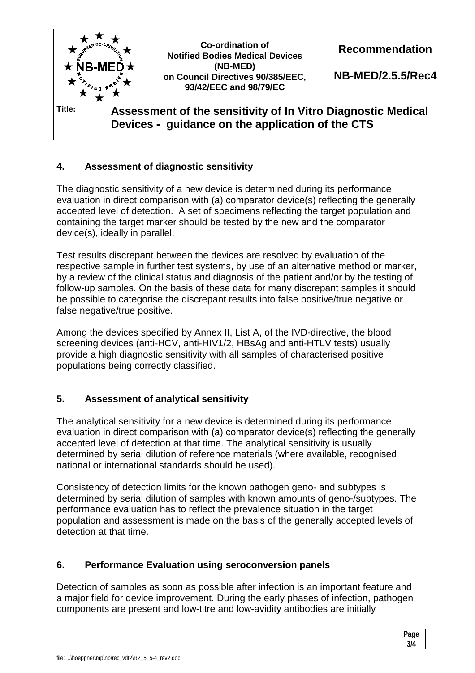

# **4. Assessment of diagnostic sensitivity**

The diagnostic sensitivity of a new device is determined during its performance evaluation in direct comparison with (a) comparator device(s) reflecting the generally accepted level of detection. A set of specimens reflecting the target population and containing the target marker should be tested by the new and the comparator device(s), ideally in parallel.

Test results discrepant between the devices are resolved by evaluation of the respective sample in further test systems, by use of an alternative method or marker, by a review of the clinical status and diagnosis of the patient and/or by the testing of follow-up samples. On the basis of these data for many discrepant samples it should be possible to categorise the discrepant results into false positive/true negative or false negative/true positive.

Among the devices specified by Annex II, List A, of the IVD-directive, the blood screening devices (anti-HCV, anti-HIV1/2, HBsAg and anti-HTLV tests) usually provide a high diagnostic sensitivity with all samples of characterised positive populations being correctly classified.

## **5. Assessment of analytical sensitivity**

The analytical sensitivity for a new device is determined during its performance evaluation in direct comparison with (a) comparator device(s) reflecting the generally accepted level of detection at that time. The analytical sensitivity is usually determined by serial dilution of reference materials (where available, recognised national or international standards should be used).

Consistency of detection limits for the known pathogen geno- and subtypes is determined by serial dilution of samples with known amounts of geno-/subtypes. The performance evaluation has to reflect the prevalence situation in the target population and assessment is made on the basis of the generally accepted levels of detection at that time.

### **6. Performance Evaluation using seroconversion panels**

Detection of samples as soon as possible after infection is an important feature and a major field for device improvement. During the early phases of infection, pathogen components are present and low-titre and low-avidity antibodies are initially

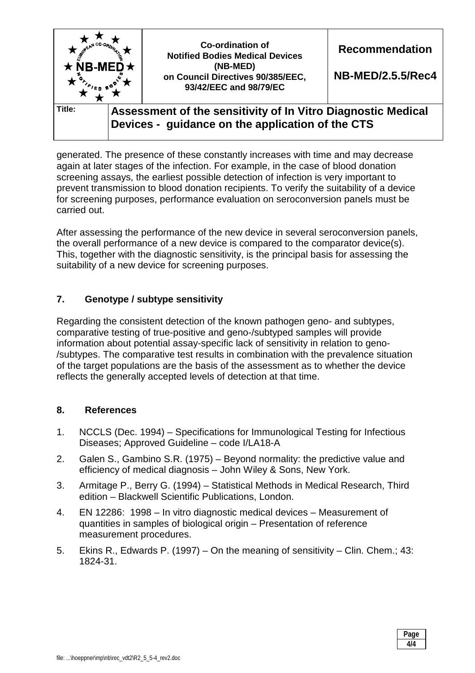| $\star$ NB-MED $\star$ | <b>Co-ordination of</b><br><b>Notified Bodies Medical Devices</b><br>(NB-MED)<br>on Council Directives 90/385/EEC,<br>93/42/EEC and 98/79/EC | <b>Recommendation</b><br><b>NB-MED/2.5.5/Rec4</b> |
|------------------------|----------------------------------------------------------------------------------------------------------------------------------------------|---------------------------------------------------|
| Title:                 | Assessment of the sensitivity of In Vitro Diagnostic Medical<br>Devices - guidance on the application of the CTS                             |                                                   |

generated. The presence of these constantly increases with time and may decrease again at later stages of the infection. For example, in the case of blood donation screening assays, the earliest possible detection of infection is very important to prevent transmission to blood donation recipients. To verify the suitability of a device for screening purposes, performance evaluation on seroconversion panels must be carried out.

After assessing the performance of the new device in several seroconversion panels, the overall performance of a new device is compared to the comparator device(s). This, together with the diagnostic sensitivity, is the principal basis for assessing the suitability of a new device for screening purposes.

# **7. Genotype / subtype sensitivity**

Regarding the consistent detection of the known pathogen geno- and subtypes, comparative testing of true-positive and geno-/subtyped samples will provide information about potential assay-specific lack of sensitivity in relation to geno- /subtypes. The comparative test results in combination with the prevalence situation of the target populations are the basis of the assessment as to whether the device reflects the generally accepted levels of detection at that time.

## **8. References**

- 1. NCCLS (Dec. 1994) Specifications for Immunological Testing for Infectious Diseases; Approved Guideline – code I/LA18-A
- 2. Galen S., Gambino S.R. (1975) Beyond normality: the predictive value and efficiency of medical diagnosis – John Wiley & Sons, New York.
- 3. Armitage P., Berry G. (1994) Statistical Methods in Medical Research, Third edition – Blackwell Scientific Publications, London.
- 4. EN 12286: 1998 In vitro diagnostic medical devices Measurement of quantities in samples of biological origin – Presentation of reference measurement procedures.
- 5. Ekins R., Edwards P. (1997) On the meaning of sensitivity Clin. Chem.; 43: 1824-31.